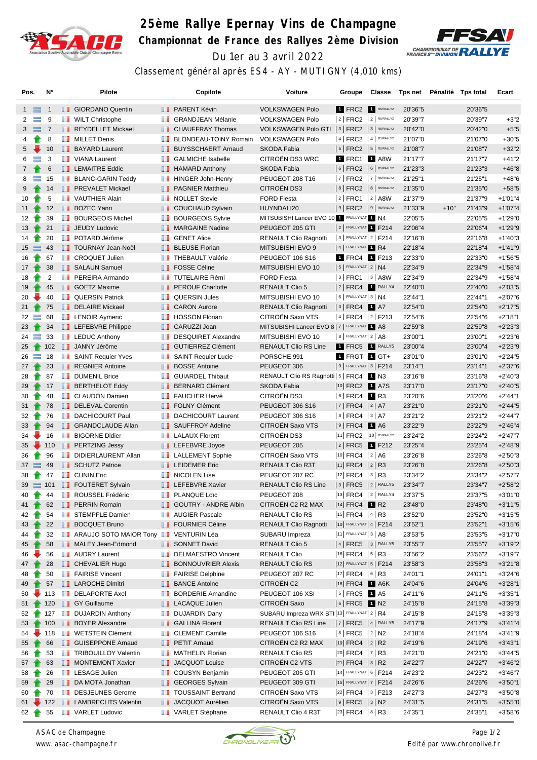

## **25ème Rallye Epernay Vins de Champagne Championnat de France des Rallyes 2ème Division** Du 1er au 3 avril 2022



Classement général après ES4 - AY - MUTIGNY (4,010 kms)

| Pos.                       | N°             |     | Pilote                        |               | Copilote                        | Voiture                                        | Groupe                     | Classe |         |        | Tps net Pénalité Tps total | Ecart      |
|----------------------------|----------------|-----|-------------------------------|---------------|---------------------------------|------------------------------------------------|----------------------------|--------|---------|--------|----------------------------|------------|
| $1 \equiv$                 | $\mathbf{1}$   |     | <b>B</b> GIORDANO Quentin     |               | <b>B</b> PARENT Kévin           | <b>VOLKSWAGEN Polo</b>                         | 1 FRC2 1 R5/RALLY2         |        | 20'36"5 |        | 20'36"5                    |            |
| $\overline{2}$<br>$\equiv$ | 9              |     | <b>NILT</b> Christophe        |               | <b>BE GRANDJEAN Mélanie</b>     | <b>VOLKSWAGEN Polo</b>                         | $ 2 $ FRC2 $ 2 $ R5/RALLY2 |        | 20'39"7 |        | 20'39"7                    | $+3"2$     |
| $3 \equiv$                 | $\overline{7}$ |     | REYDELLET Mickael             |               | <b>CHAUFFRAY Thomas</b>         | VOLKSWAGEN Polo GTI   3   FRC2   3   R5/RALLY2 |                            |        | 20'42"0 |        | 20'42"0                    | $+5"5$     |
| 4                          | 8              |     | <b>NILLET</b> Denis           | ш             | BLONDEAU-TOINY Romain           | <b>VOLKSWAGEN Polo</b>                         | $ 4 $ FRC2 $ 4 $ R5/RALLY2 |        | 21'07"0 |        | 21'07"0                    | $+30"5$    |
| 5                          | 10             |     | <b>BAYARD Laurent</b>         |               | <b>BUYSSCHAERT Arnaud</b>       | <b>SKODA Fabia</b>                             | $ 5 $ FRC2 $ 5 $ R5/RALLY2 |        | 21'08"7 |        | 21'08"7                    | $+32"2$    |
| 6<br>$\equiv$              | 3              |     | <b>NEW</b> VIANA Laurent      |               | <b>B</b> GALMICHE Isabelle      | CITROËN DS3 WRC                                | 1 FRC1 1 A8W               |        | 21'17"7 |        | 21'17"7                    | $+41"2$    |
| $7^{\circ}$                | 6              |     | <b>EXEMPLE Eddie</b>          |               | <b>B</b> HAMARD Anthony         | SKODA Fabia                                    | $ 6 $ FRC2 $ 6 $ R5/RALLY2 |        | 21'23"3 |        | 21'23"3                    | $+46"8$    |
| 8<br>$\equiv$              | 15             |     | <b>BLANC-GARIN Teddy</b>      |               | <b>HINGER John-Henry</b>        | PEUGEOT 208 T16                                | $ 7 $ FRC2 $ 7 $ R5/RALLY2 |        | 21'25"1 |        | 21'25"1                    | $+48"6$    |
| 9                          | 14             |     | <b>FREVALET Mickael</b>       |               | <b>F</b> PAGNIER Matthieu       | CITROËN DS3                                    | $8$ FRC2 $8$ R5/RALLY2     |        | 21'35"0 |        | 21'35"0                    | $+58"5$    |
| 10                         | 5              |     | <b>T</b> VAUTHIER Alain       |               | <b>NOLLET</b> Stevie            | <b>FORD Fiesta</b>                             | 2 FRC1 2 A8W               |        | 21'37"9 |        | 21'37"9                    | $+1'01''4$ |
| 11                         | 12             |     | <b>BOZEC Yann</b>             |               | COUCHAUD Sylvain                | HUYNDAI I20                                    | $9$ FRC2 $9$ R5/RALLY2     |        | 21'33"9 | $+10"$ | 21'43"9                    | $+1'07''4$ |
| 12 <sup>2</sup>            | 39             |     | <b>BOURGEOIS Michel</b>       | <b>The Co</b> | <b>BOURGEOIS Sylvie</b>         | MITSUBISHI Lancer EVO 10 1 FRALLYNAT 1 N4      |                            |        | 22'05"5 |        | 22'05"5                    | $+1'29"0$  |
| 13                         | 21             |     | <b>JEUDY Ludovic</b>          |               | MARGAINE Nadine                 | PEUGEOT 205 GTI                                | 2 FRALLYNAT F214           |        | 22'06"4 |        | 22'06"4                    | $+1'29''9$ |
| 14                         | 20             |     | <b>DE</b> POTARD Jérôme       |               | <b>B</b> GENET Alice            | <b>RENAULT Clio Ragnotti</b>                   | 3 FRALLYNAT 2   F214       |        | 22'16"8 |        | 22'16"8                    | $+1'40''3$ |
| $15 \equiv$                | 43             |     | <b>TOURNAY Jean-Noël</b>      |               | <b>BLEUSE Florian</b>           | MITSUBISHI EVO 9                               | 4 FRALLYNAT 1 R4           |        | 22'18"4 |        | 22'18"4                    | $+1'41''9$ |
| 16                         | 67             | n n | <b>CROQUET Julien</b>         | ш             | <b>THEBAULT Valérie</b>         | PEUGEOT 106 S16                                | 1 FRC4 1 F213              |        | 22'33"0 |        | 22'33"0                    | $+1'56"5$  |
| 17 <sup>2</sup>            | 38             |     | SALAUN Samuel                 |               | <b>FOSSE Céline</b>             | MITSUBISHI EVO 10                              | $5$ FRALLYNAT $2$ N4       |        | 22'34"9 |        | 22'34"9                    | $+1'58''4$ |
| 18                         | 2              |     | <b>F</b> PEREIRA Armando      |               | <b>TUTELAIRE Rémi</b>           | <b>FORD Fiesta</b>                             | $ 3 $ FRC1 $ 3 $ A8W       |        | 22'34"9 |        | 22'34"9                    | $+1'58''4$ |
| 19                         | 45             |     | <b>SOETZ Maxime</b>           |               | <b>F</b> PEROUF Charlotte       | <b>RENAULT Clio 5</b>                          | $ 2 $ FRC4 1 RALLY4        |        | 22'40"0 |        | 22'40"0                    | $+2'03"5$  |
| 20                         | 40             |     | <b>QUERSIN Patrick</b>        |               | <b>QUERSIN Jules</b>            | MITSUBISHI EVO 10                              | $6$ FRALLYNAT 3 N4         |        | 22'44"1 |        | 22'44"1                    | $+2'07"6$  |
| $21 \t{}$                  | 75             |     | DELAIRE Mickael               |               | <b>CARON Aurore</b>             | <b>RENAULT Clio Ragnotti</b>                   | $ 3 $ FRC4 1 A7            |        | 22'54"0 |        | 22'54"0                    | $+2'17"5$  |
| $22 =$                     | 68             |     | <b>EXAMPLE LENOIR Aymeric</b> | ш             | <b>HOSSON Florian</b>           | CITROËN Saxo VTS                               | 4 FRC4 2 F213              |        | 22'54"6 |        | 22'54"6                    | $+2'18"1$  |
| 23                         | 34             |     | <b>LEFEBVRE Philippe</b>      |               | <b>CARUZZI Joan</b>             | MITSUBISHI Lancer EVO 8 7   FRALLYNAT 1 A8     |                            |        | 22'59"8 |        | 22'59"8                    | $+2'23''3$ |
| 24<br>$\equiv$             | 33             |     | $\blacksquare$ LEDUC Anthony  |               | DESQUIRET Alexandre             | MITSUBISHI EVO 10                              | 8   FRALLYNAT 2   A8       |        | 23'00"1 |        | 23'00"1                    | $+2'23'6$  |
| 25                         | 102            |     | JANNY Jérôme                  |               | <b>ID</b> GUTIERREZ Clément     | <b>RENAULT Clio RS Line</b>                    | 1 FRC5 1 RALLY5            |        | 23'00"4 |        | 23'00"4                    | $+2'23''9$ |
| $\equiv$<br>26             | 18             |     | <b>B</b> SAINT Requier Yves   |               | SAINT Requier Lucie             | PORSCHE 991                                    | 1 FRGT 1 GT+               |        | 23'01"0 |        | 23'01"0                    | $+2'24"5$  |
| $27 +$                     | 23             |     | <b>REGNIER Antoine</b>        |               | <b>BOSSE Antoine</b>            | PEUGEOT 306                                    | $ 9 $ FRALLYNAT $ 3 $ F214 |        | 23'14"1 |        | 23'14"1                    | $+2'37''6$ |
| 28                         | 87             |     | <b>DUMENIL Brice</b>          | a sa          | <b>GUIARDEL Thibaut</b>         | RENAULT Clio RS Ragnotti   5   FRC4 1 N3       |                            |        | 23'16"8 |        | 23'16"8                    | $+2'40''3$ |
| 29                         | 17             |     | <b>BERTHELOT Eddy</b>         |               | <b>BERNARD Clément</b>          | SKODA Fabia                                    | 10 FRC2 1 A7S              |        | 23'17"0 |        | 23'17"0                    | $+2'40"5$  |
| 30                         | 48             |     | <b>B</b> CLAUDON Damien       |               | <b>FAUCHER Hervé</b>            | <b>CITROEN DS3</b>                             | $ 6 $ FRC4 1 R3            |        | 23'20"6 |        | 23'20"6                    | $+2'44"1$  |
| 31                         | 78             |     | DELEVAL Corentin              |               | <b>FOLNY Clément</b>            | PEUGEOT 306 S16                                | 7   FRC4   2   A7          |        | 23'21"0 |        | 23'21"0                    | $+2'44''5$ |
| 32                         | 76             |     | <b>DACHICOURT Paul</b>        | <b>The Co</b> | <b>DACHICOURT Laurent</b>       | PEUGEOT 306 S16                                | $ 8 $ FRC4 $ 3 $ A7        |        | 23'21"2 |        | 23'21"2                    | $+2'44''7$ |
| $33 - 7$                   | 94             |     | <b>GRANDCLAUDE Allan</b>      |               | SAUFFROY Adeline                | CITROËN Saxo VTS                               | $ 9 $ FRC4                 | 1 A6   | 23'22"9 |        | 23'22"9                    | $+2'46''4$ |
| 34                         | 16             |     | <b>BIGORNE Didier</b>         |               | <b>LALAUX Florent</b>           | CITROËN DS3                                    | 11 FRC2 10 R5/RALLY2       |        | 23'24"2 |        | 23'24"2                    | $+2'47"7$  |
| 35                         | $\div$ 110     |     | <b>PERTZING Jessy</b>         |               | <b>LEFEBVRE</b> Joyce           | PEUGEOT 205                                    | 2 FRC5 1 F212              |        | 23'25"4 |        | 23'25"4                    | $+2'48''9$ |
| 36                         | 96             | ш   | DIDIERLAURENT Allan           |               | <b>EXECUTE LALLEMENT Sophie</b> | CITROËN Saxo VTS                               | $ 10 $ FRC4 $ 2 A6$        |        | 23'26"8 |        | 23'26"8                    | $+2'50''3$ |
| $37 \equiv$                | 49             |     | SCHUTZ Patrice                |               | <b>LEIDEMER Eric</b>            | RENAULT Clio R3T                               | $ 11 $ FRC4 $ 2 $ R3       |        | 23'26"8 |        | 23'26"8                    | $+2'50''3$ |
| 38                         | 47             |     | <b>T</b> CUNIN Eric           |               | <b>NICOLEN Lise</b>             | PEUGEOT 207 RC                                 | $ 12 $ FRC4 $ 3 $ R3       |        | 23'34"2 |        | 23'34"2                    | $+2'57"7$  |
| $39 = 101$                 |                |     | <b>FOUTERET Sylvain</b>       |               | <b>LEFEBVRE Xavier</b>          | RENAULT Clio RS Line                           | $ 3 $ FRC5 $ 2 $ RALLY5    |        | 23'34"7 |        | 23'34"7                    | $+2'58''2$ |
| 40                         | 44             |     | ROUSSEL Frédéric              |               | <b>PLANQUE Loïc</b>             | PEUGEOT 208                                    | 13 FRC4 2 RALLY4           |        | 23'37"5 |        | 23'37"5                    | $+3'01"0$  |
| 41                         | 62             |     | <b>FRAIN Romain</b>           |               | GOUTRY - ANDRE Albin            | CITROEN C2 R2 MAX                              | 14 FRC4 1 R2               |        | 23'48"0 |        | 23'48"0                    | $+3'11''5$ |
| 42                         | 54             |     | <b>STEMPFLE Damien</b>        |               | <b>NAUGIER Pascale</b>          | <b>RENAULT Clio RS</b>                         | 15 FRC4 4 R3               |        | 23'52"0 |        | 23'52"0                    | $+3'15"5$  |
| 43                         | 22             |     | <b>BOCQUET Bruno</b>          |               | <b>FOURNIER Céline</b>          | <b>RENAULT Clio Ragnotti</b>                   | 10 FRALLYNAT 4   F214      |        | 23'52"1 |        | 23'52"1                    | $+3'15''6$ |
| 44                         | 32             |     | <b>ARAUJO SOTO MAIOR Tony</b> |               | VENTURIN Léa                    | SUBARU Impreza                                 | $ 11 $ FRALLYNAT $ 3 AB$   |        | 23'53"5 |        | 23'53"5                    | $+3'17"0$  |
| 45                         | 58             |     | MALEY Jean-Edmond             |               | SONNET David                    | <b>RENAULT Clio 5</b>                          | $ 4 $ FRC5 $ 3 $ RALLY5    |        | 23'55"7 |        | 23'55"7                    | $+3'19''2$ |
| 46                         | 56             |     | <b>AUDRY Laurent</b>          |               | DELMAESTRO Vincent              | <b>RENAULT Clio</b>                            | 16 FRC4   5   R3           |        | 23'56"2 |        | 23'56"2                    | $+3'19''7$ |
| 47 <sup>1</sup>            | 28             |     | <b>CHEVALIER Hugo</b>         |               | <b>BONNOUVRIER Alexis</b>       | RENAULT Clio RS                                | 12 FRALLYNAT 5   F214      |        | 23'58"3 |        | 23'58"3                    | $+3'21"8$  |
| 48                         | 50             |     | <b>FAIRISE Vincent</b>        |               | <b>FAIRISE Delphine</b>         | PEUGEOT 207 RC                                 | 17 FRC4 6 R3               |        | 24'01"1 |        | 24'01"1                    | $+3'24"6$  |
| 49                         | 57             |     | <b>LE</b> LAROCHE Dimitri     |               | <b>BANCE Antoine</b>            | CITROËN C2                                     | 18 FRC4 1 A6K              |        | 24'04"6 |        | 24'04"6                    | $+3'28"1$  |
| 50                         | 113            |     | DELAPORTE Axel                |               | <b>BORDERIE Amandine</b>        | PEUGEOT 106 XSI                                | $ 5 $ FRC5 1 A5            |        | 24'11"6 |        | 24'11"6                    | $+3'35"1$  |
| 51                         | 120            |     | <b>B</b> GY Guillaume         |               | LACAQUE Julien                  | CITROËN Saxo                                   | $ 6 $ FRC5 1 N2            |        | 24'15"8 |        | 24'15"8                    | $+3'39''3$ |
| 52                         | 127            |     | <b>DUJARDIN Anthony</b>       |               | <b>DUJARDIN Dany</b>            | SUBARU Impreza WRX STI 13 FRALLYNAT 2   R4     |                            |        | 24'15"8 |        | 24'15"8                    | $+3'39''3$ |
| 53                         | 100            |     | <b>BOYER Alexandre</b>        |               | <b>B</b> GALLINA Florent        | <b>RENAULT Clio RS Line</b>                    | $ 7 $ FRC5 $ 4 $ RALLY5    |        | 24'17"9 |        | 24'17"9                    | $+3'41''4$ |
| 54                         | 118            |     | <b>I</b> WETSTEIN Clément     |               | <b>CLEMENT Camille</b>          | PEUGEOT 106 S16                                | $ 8 $ FRC5 $ 2 $ N2        |        | 24'18"4 |        | 24'18"4                    | $+3'41''9$ |
| 55                         | 66             |     | <b>B</b> GUISEPPONE Arnaud    |               | <b>PETIT Amaud</b>              | CITROEN C2 R2 MAX                              | $ 19 $ FRC4 $ 2 $ R2       |        | 24'19"6 |        | 24'19"6                    | $+3'43"1$  |
| 56                         | 53             |     | <b>TRIBOUILLOY Valentin</b>   | . .           | <b>MATHELIN Florian</b>         | <b>RENAULT Clio RS</b>                         | 20 FRC4 7 R3               |        | 24'21"0 |        | 24'21"0                    | $+3'44''5$ |
| 57                         | 63             |     | MONTEMONT Xavier              |               | JACQUOT Louise                  | CITROËN C2 VTS                                 | $ 21 $ FRC4 $ 3 $ R2       |        | 24'22"7 |        | 24'22"7                    | $+3'46''2$ |
| 58                         | 26             |     | <b>LESAGE Julien</b>          |               | <b>COUSYN Benjamin</b>          | PEUGEOT 205 GTI                                | 14 FRALLYNAT 6   F214      |        | 24'23"2 |        | 24'23"2                    | $+3'46''7$ |
| 59                         | 29             |     | DA MOTA Jonathan              |               | GEORGES Sylvain                 | PEUGEOT 309 GTI                                | 15 FRALLYNAT 7   F214      |        | 24'26"6 |        | 24'26"6                    | $+3'50"1$  |
| 60                         | 70             |     | DESJEUNES Gerome              | ш             | <b>TOUSSAINT Bertrand</b>       | CITROEN Saxo VTS                               | 22 FRC4 3 F213             |        | 24'27"3 |        | 24'27"3                    | $+3'50"8$  |
| $61 \div 122$              |                |     | <b>LE</b> LAMBRECHTS Valentin |               | JACQUOT Aurélien                | CITROËN Saxo VTS                               | $ 9 $ FRC5 $ 3 $ N2        |        | 24'31"5 |        | 24'31"5                    | $+3'55"0$  |
| $62 \rightarrow$           | 55             |     | <b>VARLET Ludovic</b>         |               | VARLET Stéphane                 | RENAULT Clio 4 R3T                             | $ 23 $ FRC4 $ 8 $ R3       |        | 24'35"1 |        | 24'35"1                    | $+3'58''6$ |